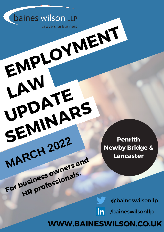**WWW.BAINESWILSON.CO.UK**

@baineswilsonllp

/baineswilsonllpin

**Penrith Newby Bridge & Lancaster**

baines wilson LLP **EMPLOYMENT**

**LAW**

**UPDATE**

**MARCH <sup>2022</sup>**

**SEMINARS**

**For business owners and**

**HR professionals.**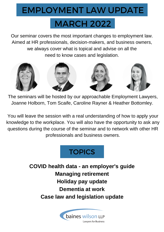#### EMPLOYMENT LAW UPDATE

# MARCH 2022

Our seminar covers the most important changes to employment law. Aimed at HR professionals, decision-makers, and business owners, we always cover what is topical and advise on all the need to know cases and legislation.



The seminars will be hosted by our approachable Employment Lawyers, Joanne Holborn, Tom Scaife, Caroline Rayner & Heather Bottomley.

You will leave the session with a real understanding of how to apply your knowledge to the workplace. You will also have the opportunity to ask any questions during the course of the seminar and to network with other HR professionals and business owners.



**COVID health data - an employer's guide Managing retirement Holiday pay update Dementia at work Case law and legislation update**

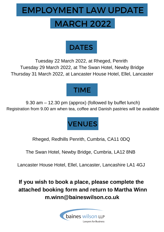#### EMPLOYMENT LAW UPDATE

# MARCH 2022



Tuesday 22 March 2022, at Rheged, Penrith Tuesday 29 March 2022, at The Swan Hotel, Newby Bridge Thursday 31 March 2022, at Lancaster House Hotel, Ellel, Lancaster

### TIME

9.30 am – 12.30 pm (approx) (followed by buffet lunch) Registration from 9.00 am when tea, coffee and Danish pastries will be available



Rheged, Redhills Penrith, Cumbria, CA11 0DQ

The Swan Hotel, Newby Bridge, Cumbria, LA12 8NB

Lancaster House Hotel, Ellel, Lancaster, Lancashire LA1 4GJ

**If you wish to book a place, please complete the attached booking form and return to Martha Winn m.winn@baineswilson.co.uk**